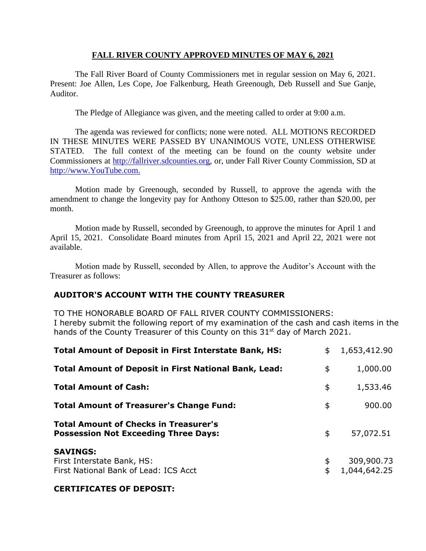## **FALL RIVER COUNTY APPROVED MINUTES OF MAY 6, 2021**

The Fall River Board of County Commissioners met in regular session on May 6, 2021. Present: Joe Allen, Les Cope, Joe Falkenburg, Heath Greenough, Deb Russell and Sue Ganje, Auditor.

The Pledge of Allegiance was given, and the meeting called to order at 9:00 a.m.

The agenda was reviewed for conflicts; none were noted. ALL MOTIONS RECORDED IN THESE MINUTES WERE PASSED BY UNANIMOUS VOTE, UNLESS OTHERWISE STATED. The full context of the meeting can be found on the county website under Commissioners at [http://fallriver.sdcounties.org,](http://fallriver.sdcounties.org/) or, under Fall River County Commission, SD at [http://www.YouTube.com.](http://www.youtube.com/)

Motion made by Greenough, seconded by Russell, to approve the agenda with the amendment to change the longevity pay for Anthony Otteson to \$25.00, rather than \$20.00, per month.

Motion made by Russell, seconded by Greenough, to approve the minutes for April 1 and April 15, 2021. Consolidate Board minutes from April 15, 2021 and April 22, 2021 were not available.

Motion made by Russell, seconded by Allen, to approve the Auditor's Account with the Treasurer as follows:

# **AUDITOR'S ACCOUNT WITH THE COUNTY TREASURER**

TO THE HONORABLE BOARD OF FALL RIVER COUNTY COMMISSIONERS: I hereby submit the following report of my examination of the cash and cash items in the hands of the County Treasurer of this County on this 31<sup>st</sup> day of March 2021.

| <b>Total Amount of Deposit in First Interstate Bank, HS:</b>                                | \$<br>1,653,412.90         |
|---------------------------------------------------------------------------------------------|----------------------------|
| <b>Total Amount of Deposit in First National Bank, Lead:</b>                                | \$<br>1,000.00             |
| <b>Total Amount of Cash:</b>                                                                | \$<br>1,533.46             |
| <b>Total Amount of Treasurer's Change Fund:</b>                                             | \$<br>900.00               |
| <b>Total Amount of Checks in Treasurer's</b><br><b>Possession Not Exceeding Three Days:</b> | \$<br>57,072.51            |
| <b>SAVINGS:</b><br>First Interstate Bank, HS:<br>First National Bank of Lead: ICS Acct      | 309,900.73<br>1,044,642.25 |

## **CERTIFICATES OF DEPOSIT:**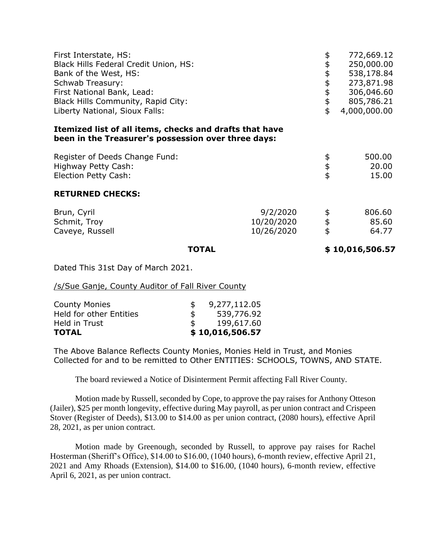| First Interstate, HS:<br>Black Hills Federal Credit Union, HS:<br>Bank of the West, HS:<br>Schwab Treasury:<br>First National Bank, Lead:<br>Black Hills Community, Rapid City:<br>Liberty National, Sioux Falls: |                                      | \$<br>\$<br>\$\$\$\$<br>\$ | 772,669.12<br>250,000.00<br>538,178.84<br>273,871.98<br>306,046.60<br>805,786.21<br>4,000,000.00 |
|-------------------------------------------------------------------------------------------------------------------------------------------------------------------------------------------------------------------|--------------------------------------|----------------------------|--------------------------------------------------------------------------------------------------|
| Itemized list of all items, checks and drafts that have<br>been in the Treasurer's possession over three days:                                                                                                    |                                      |                            |                                                                                                  |
| Register of Deeds Change Fund:<br>Highway Petty Cash:<br>Election Petty Cash:                                                                                                                                     |                                      | \$\$\$                     | 500.00<br>20.00<br>15.00                                                                         |
| <b>RETURNED CHECKS:</b>                                                                                                                                                                                           |                                      |                            |                                                                                                  |
| Brun, Cyril<br>Schmit, Troy<br>Caveye, Russell                                                                                                                                                                    | 9/2/2020<br>10/20/2020<br>10/26/2020 | \$\$<br>\$                 | 806.60<br>85.60<br>64.77                                                                         |
| <b>TOTAL</b>                                                                                                                                                                                                      |                                      |                            | \$10,016,506.57                                                                                  |

Dated This 31st Day of March 2021.

/s/Sue Ganje, County Auditor of Fall River County

| <b>County Monies</b>           |               | 9,277,112.05    |
|--------------------------------|---------------|-----------------|
| <b>Held for other Entities</b> | \$            | 539,776.92      |
| Held in Trust                  | $\mathcal{F}$ | 199,617.60      |
| <b>TOTAL</b>                   |               | \$10,016,506.57 |

The Above Balance Reflects County Monies, Monies Held in Trust, and Monies Collected for and to be remitted to Other ENTITIES: SCHOOLS, TOWNS, AND STATE.

The board reviewed a Notice of Disinterment Permit affecting Fall River County.

Motion made by Russell, seconded by Cope, to approve the pay raises for Anthony Otteson (Jailer), \$25 per month longevity, effective during May payroll, as per union contract and Crispeen Stover (Register of Deeds), \$13.00 to \$14.00 as per union contract, (2080 hours), effective April 28, 2021, as per union contract.

Motion made by Greenough, seconded by Russell, to approve pay raises for Rachel Hosterman (Sheriff's Office), \$14.00 to \$16.00, (1040 hours), 6-month review, effective April 21, 2021 and Amy Rhoads (Extension), \$14.00 to \$16.00, (1040 hours), 6-month review, effective April 6, 2021, as per union contract.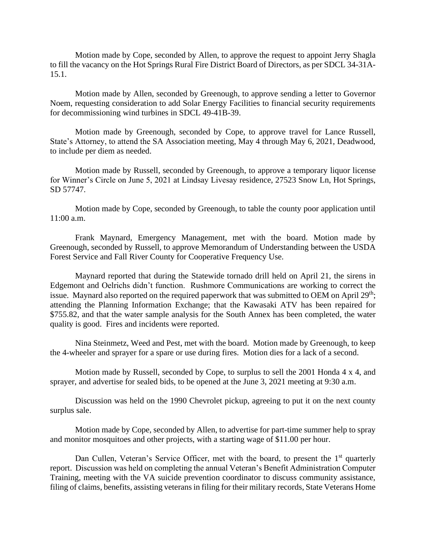Motion made by Cope, seconded by Allen, to approve the request to appoint Jerry Shagla to fill the vacancy on the Hot Springs Rural Fire District Board of Directors, as per SDCL 34-31A-15.1.

Motion made by Allen, seconded by Greenough, to approve sending a letter to Governor Noem, requesting consideration to add Solar Energy Facilities to financial security requirements for decommissioning wind turbines in SDCL 49-41B-39.

Motion made by Greenough, seconded by Cope, to approve travel for Lance Russell, State's Attorney, to attend the SA Association meeting, May 4 through May 6, 2021, Deadwood, to include per diem as needed.

Motion made by Russell, seconded by Greenough, to approve a temporary liquor license for Winner's Circle on June 5, 2021 at Lindsay Livesay residence, 27523 Snow Ln, Hot Springs, SD 57747.

Motion made by Cope, seconded by Greenough, to table the county poor application until 11:00 a.m.

Frank Maynard, Emergency Management, met with the board. Motion made by Greenough, seconded by Russell, to approve Memorandum of Understanding between the USDA Forest Service and Fall River County for Cooperative Frequency Use.

Maynard reported that during the Statewide tornado drill held on April 21, the sirens in Edgemont and Oelrichs didn't function. Rushmore Communications are working to correct the issue. Maynard also reported on the required paperwork that was submitted to OEM on April 29<sup>th</sup>; attending the Planning Information Exchange; that the Kawasaki ATV has been repaired for \$755.82, and that the water sample analysis for the South Annex has been completed, the water quality is good. Fires and incidents were reported.

Nina Steinmetz, Weed and Pest, met with the board. Motion made by Greenough, to keep the 4-wheeler and sprayer for a spare or use during fires. Motion dies for a lack of a second.

Motion made by Russell, seconded by Cope, to surplus to sell the 2001 Honda 4 x 4, and sprayer, and advertise for sealed bids, to be opened at the June 3, 2021 meeting at 9:30 a.m.

Discussion was held on the 1990 Chevrolet pickup, agreeing to put it on the next county surplus sale.

Motion made by Cope, seconded by Allen, to advertise for part-time summer help to spray and monitor mosquitoes and other projects, with a starting wage of \$11.00 per hour.

Dan Cullen, Veteran's Service Officer, met with the board, to present the  $1<sup>st</sup>$  quarterly report. Discussion was held on completing the annual Veteran's Benefit Administration Computer Training, meeting with the VA suicide prevention coordinator to discuss community assistance, filing of claims, benefits, assisting veterans in filing for their military records, State Veterans Home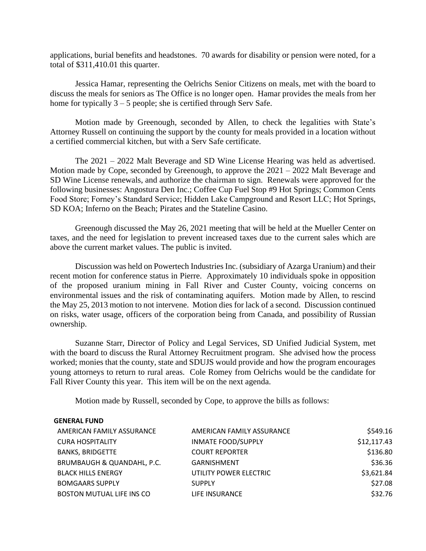applications, burial benefits and headstones. 70 awards for disability or pension were noted, for a total of \$311,410.01 this quarter.

Jessica Hamar, representing the Oelrichs Senior Citizens on meals, met with the board to discuss the meals for seniors as The Office is no longer open. Hamar provides the meals from her home for typically  $3 - 5$  people; she is certified through Serv Safe.

Motion made by Greenough, seconded by Allen, to check the legalities with State's Attorney Russell on continuing the support by the county for meals provided in a location without a certified commercial kitchen, but with a Serv Safe certificate.

The 2021 – 2022 Malt Beverage and SD Wine License Hearing was held as advertised. Motion made by Cope, seconded by Greenough, to approve the 2021 – 2022 Malt Beverage and SD Wine License renewals, and authorize the chairman to sign. Renewals were approved for the following businesses: Angostura Den Inc.; Coffee Cup Fuel Stop #9 Hot Springs; Common Cents Food Store; Forney's Standard Service; Hidden Lake Campground and Resort LLC; Hot Springs, SD KOA; Inferno on the Beach; Pirates and the Stateline Casino.

Greenough discussed the May 26, 2021 meeting that will be held at the Mueller Center on taxes, and the need for legislation to prevent increased taxes due to the current sales which are above the current market values. The public is invited.

Discussion was held on Powertech Industries Inc. (subsidiary of Azarga Uranium) and their recent motion for conference status in Pierre. Approximately 10 individuals spoke in opposition of the proposed uranium mining in Fall River and Custer County, voicing concerns on environmental issues and the risk of contaminating aquifers. Motion made by Allen, to rescind the May 25, 2013 motion to not intervene. Motion dies for lack of a second. Discussion continued on risks, water usage, officers of the corporation being from Canada, and possibility of Russian ownership.

Suzanne Starr, Director of Policy and Legal Services, SD Unified Judicial System, met with the board to discuss the Rural Attorney Recruitment program. She advised how the process worked; monies that the county, state and SDUJS would provide and how the program encourages young attorneys to return to rural areas. Cole Romey from Oelrichs would be the candidate for Fall River County this year. This item will be on the next agenda.

Motion made by Russell, seconded by Cope, to approve the bills as follows:

#### **GENERAL FUND**

| AMERICAN FAMILY ASSURANCE  | AMERICAN FAMILY ASSURANCE | \$549.16    |
|----------------------------|---------------------------|-------------|
| <b>CURA HOSPITALITY</b>    | <b>INMATE FOOD/SUPPLY</b> | \$12,117.43 |
| <b>BANKS, BRIDGETTE</b>    | <b>COURT REPORTER</b>     | \$136.80    |
| BRUMBAUGH & QUANDAHL, P.C. | <b>GARNISHMENT</b>        | \$36.36     |
| <b>BLACK HILLS ENERGY</b>  | UTILITY POWER ELECTRIC    | \$3,621.84  |
| <b>BOMGAARS SUPPLY</b>     | <b>SUPPLY</b>             | \$27.08     |
| BOSTON MUTUAL LIFE INS CO  | LIFE INSURANCE            | \$32.76     |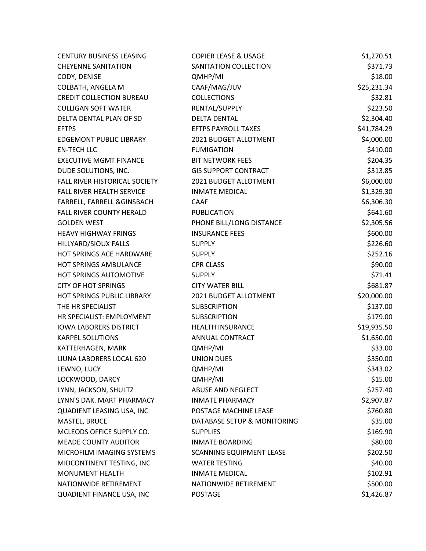| <b>CENTURY BUSINESS LEASING</b>      | <b>COPIER LEASE &amp; USAGE</b> | \$1,270.51  |
|--------------------------------------|---------------------------------|-------------|
| <b>CHEYENNE SANITATION</b>           | SANITATION COLLECTION           | \$371.73    |
| CODY, DENISE                         | QMHP/MI                         | \$18.00     |
| COLBATH, ANGELA M                    | CAAF/MAG/JUV                    | \$25,231.34 |
| <b>CREDIT COLLECTION BUREAU</b>      | <b>COLLECTIONS</b>              | \$32.81     |
| <b>CULLIGAN SOFT WATER</b>           | RENTAL/SUPPLY                   | \$223.50    |
| DELTA DENTAL PLAN OF SD              | <b>DELTA DENTAL</b>             | \$2,304.40  |
| <b>EFTPS</b>                         | <b>EFTPS PAYROLL TAXES</b>      | \$41,784.29 |
| <b>EDGEMONT PUBLIC LIBRARY</b>       | 2021 BUDGET ALLOTMENT           | \$4,000.00  |
| <b>EN-TECH LLC</b>                   | <b>FUMIGATION</b>               | \$410.00    |
| <b>EXECUTIVE MGMT FINANCE</b>        | <b>BIT NETWORK FEES</b>         | \$204.35    |
| DUDE SOLUTIONS, INC.                 | <b>GIS SUPPORT CONTRACT</b>     | \$313.85    |
| <b>FALL RIVER HISTORICAL SOCIETY</b> | 2021 BUDGET ALLOTMENT           | \$6,000.00  |
| <b>FALL RIVER HEALTH SERVICE</b>     | <b>INMATE MEDICAL</b>           | \$1,329.30  |
| FARRELL, FARRELL & GINSBACH          | <b>CAAF</b>                     | \$6,306.30  |
| FALL RIVER COUNTY HERALD             | <b>PUBLICATION</b>              | \$641.60    |
| <b>GOLDEN WEST</b>                   | PHONE BILL/LONG DISTANCE        | \$2,305.56  |
| <b>HEAVY HIGHWAY FRINGS</b>          | <b>INSURANCE FEES</b>           | \$600.00    |
| HILLYARD/SIOUX FALLS                 | <b>SUPPLY</b>                   | \$226.60    |
| HOT SPRINGS ACE HARDWARE             | <b>SUPPLY</b>                   | \$252.16    |
| <b>HOT SPRINGS AMBULANCE</b>         | <b>CPR CLASS</b>                | \$90.00     |
| HOT SPRINGS AUTOMOTIVE               | <b>SUPPLY</b>                   | \$71.41     |
| <b>CITY OF HOT SPRINGS</b>           | <b>CITY WATER BILL</b>          | \$681.87    |
| HOT SPRINGS PUBLIC LIBRARY           | 2021 BUDGET ALLOTMENT           | \$20,000.00 |
| THE HR SPECIALIST                    | <b>SUBSCRIPTION</b>             | \$137.00    |
| HR SPECIALIST: EMPLOYMENT            | <b>SUBSCRIPTION</b>             | \$179.00    |
| <b>IOWA LABORERS DISTRICT</b>        | <b>HEALTH INSURANCE</b>         | \$19,935.50 |
| <b>KARPEL SOLUTIONS</b>              | ANNUAL CONTRACT                 | \$1,650.00  |
| KATTERHAGEN, MARK                    | QMHP/MI                         | \$33.00     |
| LIUNA LABORERS LOCAL 620             | <b>UNION DUES</b>               | \$350.00    |
| LEWNO, LUCY                          | QMHP/MI                         | \$343.02    |
| LOCKWOOD, DARCY                      | QMHP/MI                         | \$15.00     |
| LYNN, JACKSON, SHULTZ                | ABUSE AND NEGLECT               | \$257.40    |
| LYNN'S DAK. MART PHARMACY            | <b>INMATE PHARMACY</b>          | \$2,907.87  |
| QUADIENT LEASING USA, INC            | POSTAGE MACHINE LEASE           | \$760.80    |
| MASTEL, BRUCE                        | DATABASE SETUP & MONITORING     | \$35.00     |
| MCLEODS OFFICE SUPPLY CO.            | <b>SUPPLIES</b>                 | \$169.90    |
| <b>MEADE COUNTY AUDITOR</b>          | <b>INMATE BOARDING</b>          | \$80.00     |
| MICROFILM IMAGING SYSTEMS            | <b>SCANNING EQUIPMENT LEASE</b> | \$202.50    |
| MIDCONTINENT TESTING, INC            | <b>WATER TESTING</b>            | \$40.00     |
| <b>MONUMENT HEALTH</b>               | <b>INMATE MEDICAL</b>           | \$102.91    |
| NATIONWIDE RETIREMENT                | NATIONWIDE RETIREMENT           | \$500.00    |
| QUADIENT FINANCE USA, INC            | <b>POSTAGE</b>                  | \$1,426.87  |
|                                      |                                 |             |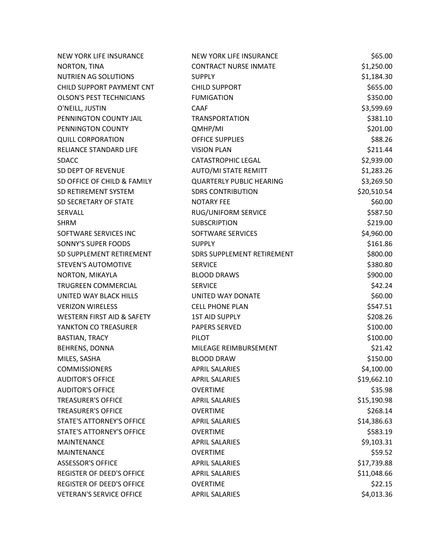| NEW YORK LIFE INSURANCE               | <b>NEW YORK LIFE INSURANCE</b>  | \$65.00     |
|---------------------------------------|---------------------------------|-------------|
| NORTON, TINA                          | <b>CONTRACT NURSE INMATE</b>    | \$1,250.00  |
| <b>NUTRIEN AG SOLUTIONS</b>           | <b>SUPPLY</b>                   | \$1,184.30  |
| CHILD SUPPORT PAYMENT CNT             | <b>CHILD SUPPORT</b>            | \$655.00    |
| <b>OLSON'S PEST TECHNICIANS</b>       | <b>FUMIGATION</b>               | \$350.00    |
| O'NEILL, JUSTIN                       | <b>CAAF</b>                     | \$3,599.69  |
| PENNINGTON COUNTY JAIL                | <b>TRANSPORTATION</b>           | \$381.10    |
| PENNINGTON COUNTY                     | QMHP/MI                         | \$201.00    |
| <b>QUILL CORPORATION</b>              | <b>OFFICE SUPPLIES</b>          | \$88.26     |
| RELIANCE STANDARD LIFE                | <b>VISION PLAN</b>              | \$211.44    |
| <b>SDACC</b>                          | <b>CATASTROPHIC LEGAL</b>       | \$2,939.00  |
| SD DEPT OF REVENUE                    | AUTO/MI STATE REMITT            | \$1,283.26  |
| SD OFFICE OF CHILD & FAMILY           | <b>QUARTERLY PUBLIC HEARING</b> | \$3,269.50  |
| SD RETIREMENT SYSTEM                  | <b>SDRS CONTRIBUTION</b>        | \$20,510.54 |
| SD SECRETARY OF STATE                 | <b>NOTARY FEE</b>               | \$60.00     |
| SERVALL                               | RUG/UNIFORM SERVICE             | \$587.50    |
| <b>SHRM</b>                           | <b>SUBSCRIPTION</b>             | \$219.00    |
| SOFTWARE SERVICES INC                 | SOFTWARE SERVICES               | \$4,960.00  |
| SONNY'S SUPER FOODS                   | <b>SUPPLY</b>                   | \$161.86    |
| SD SUPPLEMENT RETIREMENT              | SDRS SUPPLEMENT RETIREMENT      | \$800.00    |
| <b>STEVEN'S AUTOMOTIVE</b>            | <b>SERVICE</b>                  | \$380.80    |
| NORTON, MIKAYLA                       | <b>BLOOD DRAWS</b>              | \$900.00    |
| TRUGREEN COMMERCIAL                   | <b>SERVICE</b>                  | \$42.24     |
| UNITED WAY BLACK HILLS                | UNITED WAY DONATE               | \$60.00     |
| <b>VERIZON WIRELESS</b>               | <b>CELL PHONE PLAN</b>          | \$547.51    |
| <b>WESTERN FIRST AID &amp; SAFETY</b> | <b>1ST AID SUPPLY</b>           | \$208.26    |
| YANKTON CO TREASURER                  | <b>PAPERS SERVED</b>            | \$100.00    |
| <b>BASTIAN, TRACY</b>                 | <b>PILOT</b>                    | \$100.00    |
| <b>BEHRENS, DONNA</b>                 | MILEAGE REIMBURSEMENT           | \$21.42     |
| MILES, SASHA                          | <b>BLOOD DRAW</b>               | \$150.00    |
| <b>COMMISSIONERS</b>                  | <b>APRIL SALARIES</b>           | \$4,100.00  |
| <b>AUDITOR'S OFFICE</b>               | <b>APRIL SALARIES</b>           | \$19,662.10 |
| <b>AUDITOR'S OFFICE</b>               | <b>OVERTIME</b>                 | \$35.98     |
| <b>TREASURER'S OFFICE</b>             | <b>APRIL SALARIES</b>           | \$15,190.98 |
| <b>TREASURER'S OFFICE</b>             | <b>OVERTIME</b>                 | \$268.14    |
| <b>STATE'S ATTORNEY'S OFFICE</b>      | <b>APRIL SALARIES</b>           | \$14,386.63 |
| <b>STATE'S ATTORNEY'S OFFICE</b>      | <b>OVERTIME</b>                 | \$583.19    |
| <b>MAINTENANCE</b>                    | <b>APRIL SALARIES</b>           | \$9,103.31  |
| <b>MAINTENANCE</b>                    | <b>OVERTIME</b>                 | \$59.52     |
| <b>ASSESSOR'S OFFICE</b>              | <b>APRIL SALARIES</b>           | \$17,739.88 |
| <b>REGISTER OF DEED'S OFFICE</b>      | <b>APRIL SALARIES</b>           | \$11,048.66 |
| <b>REGISTER OF DEED'S OFFICE</b>      | <b>OVERTIME</b>                 | \$22.15     |
| <b>VETERAN'S SERVICE OFFICE</b>       | <b>APRIL SALARIES</b>           | \$4,013.36  |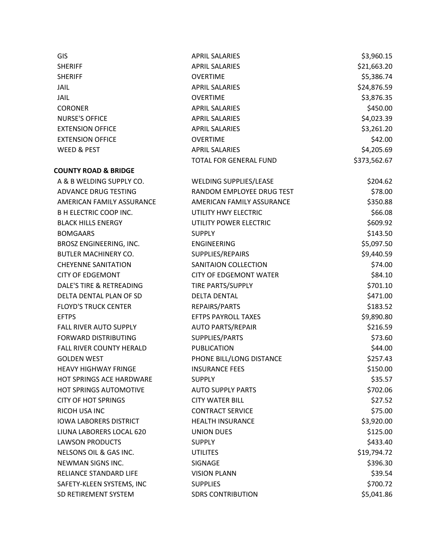| <b>GIS</b>                          | <b>APRIL SALARIES</b>         | \$3,960.15   |
|-------------------------------------|-------------------------------|--------------|
| <b>SHERIFF</b>                      | <b>APRIL SALARIES</b>         | \$21,663.20  |
| <b>SHERIFF</b>                      | <b>OVERTIME</b>               | \$5,386.74   |
| <b>JAIL</b>                         | <b>APRIL SALARIES</b>         | \$24,876.59  |
| <b>JAIL</b>                         | <b>OVERTIME</b>               | \$3,876.35   |
| <b>CORONER</b>                      | <b>APRIL SALARIES</b>         | \$450.00     |
| <b>NURSE'S OFFICE</b>               | <b>APRIL SALARIES</b>         | \$4,023.39   |
| <b>EXTENSION OFFICE</b>             | <b>APRIL SALARIES</b>         | \$3,261.20   |
| <b>EXTENSION OFFICE</b>             | <b>OVERTIME</b>               | \$42.00      |
| <b>WEED &amp; PEST</b>              | <b>APRIL SALARIES</b>         | \$4,205.69   |
|                                     | TOTAL FOR GENERAL FUND        | \$373,562.67 |
| <b>COUNTY ROAD &amp; BRIDGE</b>     |                               |              |
| A & B WELDING SUPPLY CO.            | <b>WELDING SUPPLIES/LEASE</b> | \$204.62     |
| ADVANCE DRUG TESTING                | RANDOM EMPLOYEE DRUG TEST     | \$78.00      |
| AMERICAN FAMILY ASSURANCE           | AMERICAN FAMILY ASSURANCE     | \$350.88     |
| <b>B H ELECTRIC COOP INC.</b>       | UTILITY HWY ELECTRIC          | \$66.08      |
| <b>BLACK HILLS ENERGY</b>           | UTILITY POWER ELECTRIC        | \$609.92     |
| <b>BOMGAARS</b>                     | <b>SUPPLY</b>                 | \$143.50     |
| BROSZ ENGINEERING, INC.             | <b>ENGINEERING</b>            | \$5,097.50   |
| <b>BUTLER MACHINERY CO.</b>         | SUPPLIES/REPAIRS              | \$9,440.59   |
| <b>CHEYENNE SANITATION</b>          | SANITAION COLLECTION          | \$74.00      |
| <b>CITY OF EDGEMONT</b>             | <b>CITY OF EDGEMONT WATER</b> | \$84.10      |
| <b>DALE'S TIRE &amp; RETREADING</b> | TIRE PARTS/SUPPLY             | \$701.10     |
| DELTA DENTAL PLAN OF SD             | <b>DELTA DENTAL</b>           | \$471.00     |
| <b>FLOYD'S TRUCK CENTER</b>         | REPAIRS/PARTS                 | \$183.52     |
| <b>EFTPS</b>                        | <b>EFTPS PAYROLL TAXES</b>    | \$9,890.80   |
| FALL RIVER AUTO SUPPLY              | <b>AUTO PARTS/REPAIR</b>      | \$216.59     |
| FORWARD DISTRIBUTING                | SUPPLIES/PARTS                | \$73.60      |
| FALL RIVER COUNTY HERALD            | <b>PUBLICATION</b>            | \$44.00      |
| <b>GOLDEN WEST</b>                  | PHONE BILL/LONG DISTANCE      | \$257.43     |
| <b>HEAVY HIGHWAY FRINGE</b>         | <b>INSURANCE FEES</b>         | \$150.00     |
| <b>HOT SPRINGS ACE HARDWARE</b>     | <b>SUPPLY</b>                 | \$35.57      |
| <b>HOT SPRINGS AUTOMOTIVE</b>       | <b>AUTO SUPPLY PARTS</b>      | \$702.06     |
| <b>CITY OF HOT SPRINGS</b>          | <b>CITY WATER BILL</b>        | \$27.52      |
| RICOH USA INC                       | <b>CONTRACT SERVICE</b>       | \$75.00      |
| <b>IOWA LABORERS DISTRICT</b>       | <b>HEALTH INSURANCE</b>       | \$3,920.00   |
| LIUNA LABORERS LOCAL 620            | <b>UNION DUES</b>             | \$125.00     |
| <b>LAWSON PRODUCTS</b>              | <b>SUPPLY</b>                 | \$433.40     |
| NELSONS OIL & GAS INC.              | <b>UTILITES</b>               | \$19,794.72  |
| NEWMAN SIGNS INC.                   | SIGNAGE                       | \$396.30     |
| RELIANCE STANDARD LIFE              | <b>VISION PLANN</b>           | \$39.54      |
| SAFETY-KLEEN SYSTEMS, INC           | <b>SUPPLIES</b>               | \$700.72     |
| SD RETIREMENT SYSTEM                | <b>SDRS CONTRIBUTION</b>      | \$5,041.86   |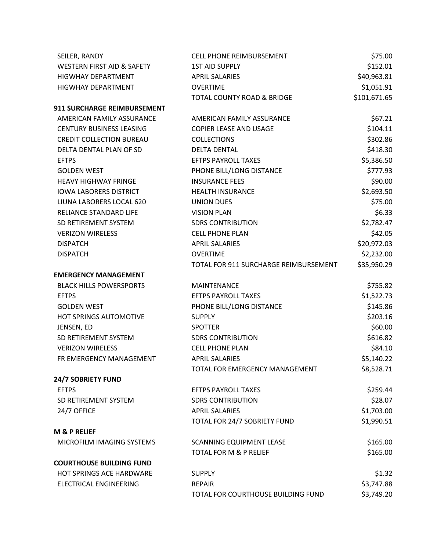| SEILER, RANDY                   | <b>CELL PHONE REIMBURSEMENT</b>       | \$75.00      |
|---------------------------------|---------------------------------------|--------------|
| WESTERN FIRST AID & SAFETY      | <b>1ST AID SUPPLY</b>                 | \$152.01     |
| <b>HIGWHAY DEPARTMENT</b>       | <b>APRIL SALARIES</b>                 | \$40,963.81  |
| <b>HIGWHAY DEPARTMENT</b>       | <b>OVERTIME</b>                       | \$1,051.91   |
|                                 | <b>TOTAL COUNTY ROAD &amp; BRIDGE</b> | \$101,671.65 |
| 911 SURCHARGE REIMBURSEMENT     |                                       |              |
| AMERICAN FAMILY ASSURANCE       | AMERICAN FAMILY ASSURANCE             | \$67.21      |
| <b>CENTURY BUSINESS LEASING</b> | <b>COPIER LEASE AND USAGE</b>         | \$104.11     |
| <b>CREDIT COLLECTION BUREAU</b> | <b>COLLECTIONS</b>                    | \$302.86     |
| DELTA DENTAL PLAN OF SD         | <b>DELTA DENTAL</b>                   | \$418.30     |
| <b>EFTPS</b>                    | <b>EFTPS PAYROLL TAXES</b>            | \$5,386.50   |
| <b>GOLDEN WEST</b>              | PHONE BILL/LONG DISTANCE              | \$777.93     |
| <b>HEAVY HIGHWAY FRINGE</b>     | <b>INSURANCE FEES</b>                 | \$90.00      |
| <b>IOWA LABORERS DISTRICT</b>   | <b>HEALTH INSURANCE</b>               | \$2,693.50   |
| LIUNA LABORERS LOCAL 620        | <b>UNION DUES</b>                     | \$75.00      |
| RELIANCE STANDARD LIFE          | <b>VISION PLAN</b>                    | \$6.33       |
| SD RETIREMENT SYSTEM            | <b>SDRS CONTRIBUTION</b>              | \$2,782.47   |
| <b>VERIZON WIRELESS</b>         | <b>CELL PHONE PLAN</b>                | \$42.05      |
| <b>DISPATCH</b>                 | <b>APRIL SALARIES</b>                 | \$20,972.03  |
| <b>DISPATCH</b>                 | <b>OVERTIME</b>                       | \$2,232.00   |
|                                 | TOTAL FOR 911 SURCHARGE REIMBURSEMENT | \$35,950.29  |
| <b>EMERGENCY MANAGEMENT</b>     |                                       |              |
| <b>BLACK HILLS POWERSPORTS</b>  | <b>MAINTENANCE</b>                    | \$755.82     |
| <b>EFTPS</b>                    | <b>EFTPS PAYROLL TAXES</b>            | \$1,522.73   |
| <b>GOLDEN WEST</b>              | PHONE BILL/LONG DISTANCE              | \$145.86     |
| HOT SPRINGS AUTOMOTIVE          | <b>SUPPLY</b>                         | \$203.16     |
| JENSEN, ED                      | <b>SPOTTER</b>                        | \$60.00      |
| SD RETIREMENT SYSTEM            | <b>SDRS CONTRIBUTION</b>              | \$616.82     |
| <b>VERIZON WIRELESS</b>         | <b>CELL PHONE PLAN</b>                | \$84.10      |
| FR EMERGENCY MANAGEMENT         | <b>APRIL SALARIES</b>                 | \$5,140.22   |
|                                 | TOTAL FOR EMERGENCY MANAGEMENT        | \$8,528.71   |
| <b>24/7 SOBRIETY FUND</b>       |                                       |              |
| <b>EFTPS</b>                    | <b>EFTPS PAYROLL TAXES</b>            | \$259.44     |
| SD RETIREMENT SYSTEM            | <b>SDRS CONTRIBUTION</b>              | \$28.07      |
| 24/7 OFFICE                     | <b>APRIL SALARIES</b>                 | \$1,703.00   |
|                                 | TOTAL FOR 24/7 SOBRIETY FUND          | \$1,990.51   |
| <b>M &amp; P RELIEF</b>         |                                       |              |
| MICROFILM IMAGING SYSTEMS       | <b>SCANNING EQUIPMENT LEASE</b>       | \$165.00     |
|                                 | <b>TOTAL FOR M &amp; P RELIEF</b>     | \$165.00     |
| <b>COURTHOUSE BUILDING FUND</b> |                                       |              |
| HOT SPRINGS ACE HARDWARE        | <b>SUPPLY</b>                         | \$1.32       |
| <b>ELECTRICAL ENGINEERING</b>   | <b>REPAIR</b>                         | \$3,747.88   |
|                                 | TOTAL FOR COURTHOUSE BUILDING FUND    | \$3,749.20   |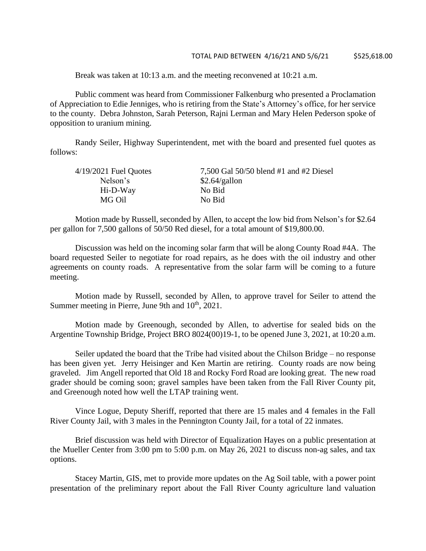Break was taken at 10:13 a.m. and the meeting reconvened at 10:21 a.m.

Public comment was heard from Commissioner Falkenburg who presented a Proclamation of Appreciation to Edie Jenniges, who is retiring from the State's Attorney's office, for her service to the county. Debra Johnston, Sarah Peterson, Rajni Lerman and Mary Helen Pederson spoke of opposition to uranium mining.

Randy Seiler, Highway Superintendent, met with the board and presented fuel quotes as follows:

| 7,500 Gal 50/50 blend #1 and #2 Diesel |
|----------------------------------------|
| \$2.64/gallon                          |
| No Bid                                 |
| No Bid                                 |
|                                        |

Motion made by Russell, seconded by Allen, to accept the low bid from Nelson's for \$2.64 per gallon for 7,500 gallons of 50/50 Red diesel, for a total amount of \$19,800.00.

Discussion was held on the incoming solar farm that will be along County Road #4A. The board requested Seiler to negotiate for road repairs, as he does with the oil industry and other agreements on county roads. A representative from the solar farm will be coming to a future meeting.

Motion made by Russell, seconded by Allen, to approve travel for Seiler to attend the Summer meeting in Pierre, June 9th and 10<sup>th</sup>, 2021.

Motion made by Greenough, seconded by Allen, to advertise for sealed bids on the Argentine Township Bridge, Project BRO 8024(00)19-1, to be opened June 3, 2021, at 10:20 a.m.

Seiler updated the board that the Tribe had visited about the Chilson Bridge – no response has been given yet. Jerry Heisinger and Ken Martin are retiring. County roads are now being graveled. Jim Angell reported that Old 18 and Rocky Ford Road are looking great. The new road grader should be coming soon; gravel samples have been taken from the Fall River County pit, and Greenough noted how well the LTAP training went.

Vince Logue, Deputy Sheriff, reported that there are 15 males and 4 females in the Fall River County Jail, with 3 males in the Pennington County Jail, for a total of 22 inmates.

Brief discussion was held with Director of Equalization Hayes on a public presentation at the Mueller Center from 3:00 pm to 5:00 p.m. on May 26, 2021 to discuss non-ag sales, and tax options.

Stacey Martin, GIS, met to provide more updates on the Ag Soil table, with a power point presentation of the preliminary report about the Fall River County agriculture land valuation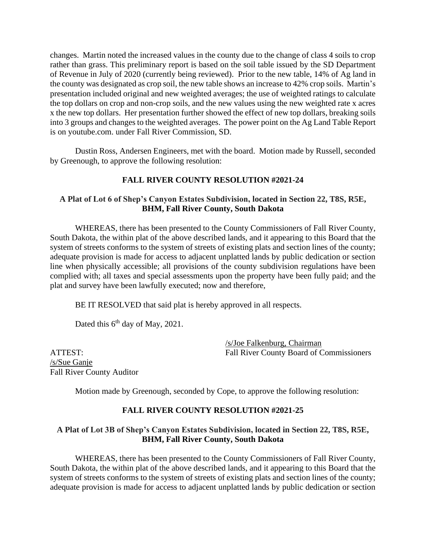changes. Martin noted the increased values in the county due to the change of class 4 soils to crop rather than grass. This preliminary report is based on the soil table issued by the SD Department of Revenue in July of 2020 (currently being reviewed). Prior to the new table, 14% of Ag land in the county was designated as crop soil, the new table shows an increase to 42% crop soils. Martin's presentation included original and new weighted averages; the use of weighted ratings to calculate the top dollars on crop and non-crop soils, and the new values using the new weighted rate x acres x the new top dollars. Her presentation further showed the effect of new top dollars, breaking soils into 3 groups and changes to the weighted averages. The power point on the Ag Land Table Report is on youtube.com. under Fall River Commission, SD.

Dustin Ross, Andersen Engineers, met with the board. Motion made by Russell, seconded by Greenough, to approve the following resolution:

# **FALL RIVER COUNTY RESOLUTION #2021-24**

# **A Plat of Lot 6 of Shep's Canyon Estates Subdivision, located in Section 22, T8S, R5E, BHM, Fall River County, South Dakota**

WHEREAS, there has been presented to the County Commissioners of Fall River County, South Dakota, the within plat of the above described lands, and it appearing to this Board that the system of streets conforms to the system of streets of existing plats and section lines of the county; adequate provision is made for access to adjacent unplatted lands by public dedication or section line when physically accessible; all provisions of the county subdivision regulations have been complied with; all taxes and special assessments upon the property have been fully paid; and the plat and survey have been lawfully executed; now and therefore,

BE IT RESOLVED that said plat is hereby approved in all respects.

Dated this  $6<sup>th</sup>$  day of May, 2021.

/s/Joe Falkenburg, Chairman ATTEST: Fall River County Board of Commissioners

/s/Sue Ganje Fall River County Auditor

Motion made by Greenough, seconded by Cope, to approve the following resolution:

# **FALL RIVER COUNTY RESOLUTION #2021-25**

## **A Plat of Lot 3B of Shep's Canyon Estates Subdivision, located in Section 22, T8S, R5E, BHM, Fall River County, South Dakota**

WHEREAS, there has been presented to the County Commissioners of Fall River County, South Dakota, the within plat of the above described lands, and it appearing to this Board that the system of streets conforms to the system of streets of existing plats and section lines of the county; adequate provision is made for access to adjacent unplatted lands by public dedication or section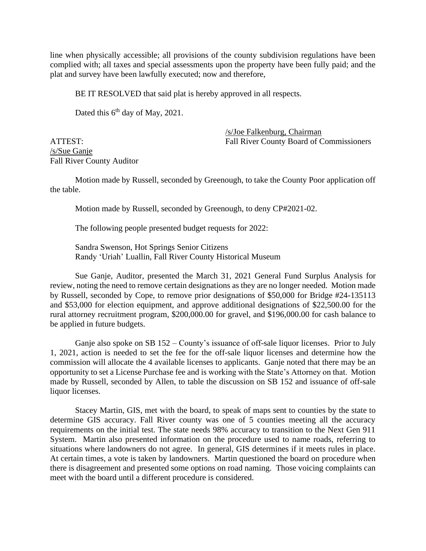line when physically accessible; all provisions of the county subdivision regulations have been complied with; all taxes and special assessments upon the property have been fully paid; and the plat and survey have been lawfully executed; now and therefore,

BE IT RESOLVED that said plat is hereby approved in all respects.

Dated this  $6<sup>th</sup>$  day of May, 2021.

/s/Sue Ganje Fall River County Auditor

/s/Joe Falkenburg, Chairman ATTEST: Fall River County Board of Commissioners

Motion made by Russell, seconded by Greenough, to take the County Poor application off the table.

Motion made by Russell, seconded by Greenough, to deny CP#2021-02.

The following people presented budget requests for 2022:

Sandra Swenson, Hot Springs Senior Citizens Randy 'Uriah' Luallin, Fall River County Historical Museum

Sue Ganje, Auditor, presented the March 31, 2021 General Fund Surplus Analysis for review, noting the need to remove certain designations as they are no longer needed. Motion made by Russell, seconded by Cope, to remove prior designations of \$50,000 for Bridge #24-135113 and \$53,000 for election equipment, and approve additional designations of \$22,500.00 for the rural attorney recruitment program, \$200,000.00 for gravel, and \$196,000.00 for cash balance to be applied in future budgets.

Ganje also spoke on SB 152 – County's issuance of off-sale liquor licenses. Prior to July 1, 2021, action is needed to set the fee for the off-sale liquor licenses and determine how the commission will allocate the 4 available licenses to applicants. Ganje noted that there may be an opportunity to set a License Purchase fee and is working with the State's Attorney on that. Motion made by Russell, seconded by Allen, to table the discussion on SB 152 and issuance of off-sale liquor licenses.

Stacey Martin, GIS, met with the board, to speak of maps sent to counties by the state to determine GIS accuracy. Fall River county was one of 5 counties meeting all the accuracy requirements on the initial test. The state needs 98% accuracy to transition to the Next Gen 911 System. Martin also presented information on the procedure used to name roads, referring to situations where landowners do not agree. In general, GIS determines if it meets rules in place. At certain times, a vote is taken by landowners. Martin questioned the board on procedure when there is disagreement and presented some options on road naming. Those voicing complaints can meet with the board until a different procedure is considered.